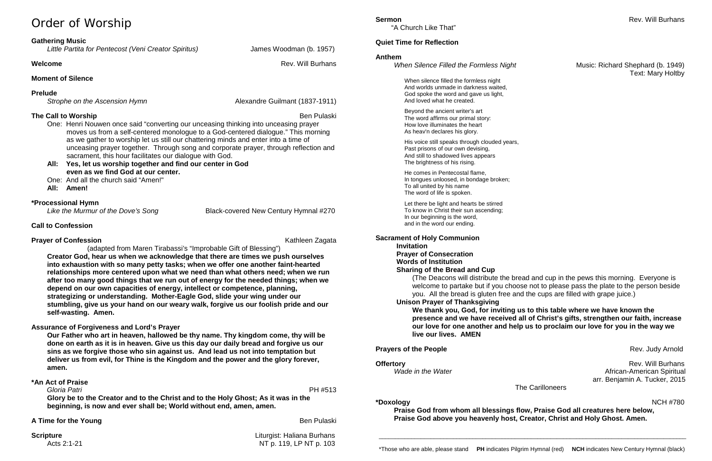# Order of Worship

## **Gathering Music**

*Little Partita for Pentecost (Veni Creator Spiritus)* James Woodman (b. 1957)

### **Welcome** Rev. Will Burhans

## **Moment of Silence**

# **Prelude**

*Strophe on the Ascension Hymn* Alexandre Guilmant (1837-1911)

# **The Call to Worship** Ben Pulaski **Ben Pulaski** Ben Pulaski Ben Pulaski Ben Pulaski Ben Pulaski Ben Pulaski Ben Pulaski

- One: Henri Nouwen once said "converting our unceasing thinking into unceasing prayer moves us from a self-centered monologue to a God-centered dialogue." This morning as we gather to worship let us still our chattering minds and enter into a time of unceasing prayer together. Through song and corporate prayer, through reflection and sacrament, this hour facilitates our dialogue with God.
- **All: Yes, let us worship together and find our center in God even as we find God at our center.**
- One: And all the church said "Amen!"
- **All: Amen!**

# **\*Processional Hymn**

 *Like the Murmur of the Dove's Song* Black-covered New Century Hymnal #270

# **Call to Confession**

# **Prayer of Confession Confession** Conference Conference Content Conference Cagata Kathleen Zagata

**Scripture** Liturgist: Haliana Burhans Acts 2:1-21 **NT p. 119, LP NT p. 103** 

(adapted from Maren Tirabassi's "Improbable Gift of Blessing") **Creator God, hear us when we acknowledge that there are times we push ourselves into exhaustion with so many petty tasks; when we offer one another faint-hearted relationships more centered upon what we need than what others need; when we run after too many good things that we run out of energy for the needed things; when we depend on our own capacities of energy, intellect or competence, planning, strategizing or understanding. Mother-Eagle God, slide your wing under our stumbling, give us your hand on our weary walk, forgive us our foolish pride and our self-wasting. Amen.**

# **Assurance of Forgiveness and Lord's Prayer**

**Our Father who art in heaven, hallowed be thy name. Thy kingdom come, thy will be done on earth as it is in heaven. Give us this day our daily bread and forgive us our sins as we forgive those who sin against us. And lead us not into temptation but deliver us from evil, for Thine is the Kingdom and the power and the glory forever, amen.**

**Offertory** Rev. Will Burhans<br>Wade in the Water Water Mexican Property African-American Spiritual *Wade in the Water* African-American Spiritual arr. Benjamin A. Tucker, 2015

## **\*An Act of Praise**

 *Gloria Patri* PH #513 **Glory be to the Creator and to the Christ and to the Holy Ghost; As it was in the beginning, is now and ever shall be; World without end, amen, amen.**

## **A Time for the Young Ben Pullaski Ben Pullaski Ben Pullaski Ben Pullaski Ben Pullaski**

"A Church Like That"

# **Quiet Time for Reflection**

## **Anthem**

*When Silence Filled the Formless Night* Music: Richard Shephard (b. 1949)

# Text: Mary Holtby

When silence filled the formless night And worlds unmade in darkness waited, God spoke the word and gave us light, And loved what he created.

Beyond the ancient writer's art The word affirms our primal story: How love illuminates the heart As heav'n declares his glory.

His voice still speaks through clouded years, Past prisons of our own devising, And still to shadowed lives appears The brightness of his rising.

He comes in Pentecostal flame, In tongues unloosed, in bondage broken; To all united by his name The word of life is spoken.

Let there be light and hearts be stirred To know in Christ their sun ascending; In our beginning is the word, and in the word our ending.

## **Sacrament of Holy Communion**

**Invitation Prayer of Consecration Words of Institution Sharing of the Bread and Cup** (The Deacons will distribute the bread and cup in the pews this morning. Everyone is welcome to partake but if you choose not to please pass the plate to the person beside you. All the bread is gluten free and the cups are filled with grape juice.) **Unison Prayer of Thanksgiving We thank you, God, for inviting us to this table where we have known the presence and we have received all of Christ's gifts, strengthen our faith, increase our love for one another and help us to proclaim our love for you in the way we live our lives. AMEN**

# **Prayers of the People** Rev. Judy Arnold Rev. Judy Arnold

The Carilloneers

**\*Doxology** NCH #780

**Praise God from whom all blessings flow, Praise God all creatures here below, Praise God above you heavenly host, Creator, Christ and Holy Ghost. Amen.**

\_\_\_\_\_\_\_\_\_\_\_\_\_\_\_\_\_\_\_\_\_\_\_\_\_\_\_\_\_\_\_\_\_\_\_\_\_\_\_\_\_\_\_\_\_\_\_\_\_\_\_\_\_\_\_\_\_\_\_\_\_\_\_\_\_\_\_\_\_\_\_\_\_\_\_\_\_\_\_\_\_\_\_\_\_\_\_\_\_\_\_\_\_\_\_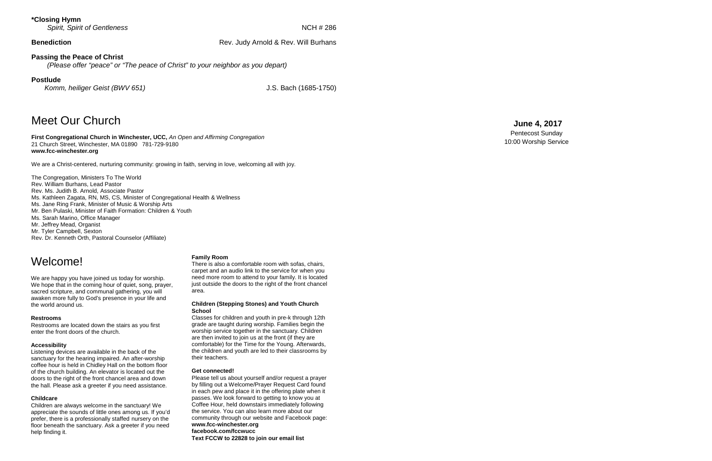### **\*Closing Hymn Spirit, Spirit of Gentleness Spirit, Spirit of Gentleness NCH # 286**

**Benediction Benediction Rev. Judy Arnold & Rev. Will Burhans** 

### **Passing the Peace of Christ**

*(Please offer "peace" or " The peace of Christ" to your neighbor as you depart)*

### **Postlude**

*Komm, heiliger Geist (BWV 651)* 

J.S. Bach (1685-1750)

# Meet Our Church

**First Congregational Church in Winchester, UCC,** *An Open and Affirming Congregation* 21 Church Street, Winchester, MA 01890 781 -729 -9180 **www.fcc -winchester.org**

We are a Christ -centered, nurturing community: growing in faith, serving in love, welcoming all with joy.

The Congregation, Ministers To The World Rev. William Burhans, Lead Pastor Rev. Ms. Judith B. Arnold, Associate Pastor Ms. Kathleen Zagata, RN, MS, CS, Minister of Congregational Health & Wellness Ms. Jane Ring Frank, Minister of Music & Worship Arts Mr. Ben Pulaski, Minister of Faith Formation: Children & Youth Ms. Sarah Marino, Office Manager Mr. Jeffrey Mead, Organist Mr. Tyler Campbell, Sexton Rev. Dr. Kenneth Orth, Pastoral Counselor (Affiliate)

# **June 4 , 2017**

Pentecost Sunday 10:00 Worship Service

# Welcome!

We are happy you have joined us today for worship. We hope that in the coming hour of quiet, song, prayer, sacred scripture, and communal gathering, you will awaken more fully to God's presence in your life and the world around us.

### **Restrooms**

Restrooms are located down the stairs as you first enter the front doors of the church.

### **Accessibility**

Listening devices are available in the back of the sanctuary for the hearing impaired. An after -worship coffee hour is held in Chidley Hall on the bottom floor of the church building. An elevator is located out the doors to the right of the front chancel area and down the hall. Please ask a greeter if you need assistance.

### **Childcare**

Children are always welcome in the sanctuary! We appreciate the sounds of little ones among us. If you'd prefer, there is a professionally staffed nursery on the floor beneath the sanctuary. Ask a greeter if you need help finding it.

### **Family Room**

There is also a comfortable room with sofas, chairs, carpet and an audio link to the service for when you need more room to attend to your family. It is located just outside the doors to the right of the front chancel area.

### **Children (Stepping Stones) and Youth Church School**

Classes for children and youth in pre -k through 12th grade are taught during worship. Families begin the worship service together in the sanctuary. Children are then invited to join us at the front (if they are comfortable) for the Time for the Young. Afterwards, the children and youth are led to their classrooms by their teachers.

### **Get connected!**

Please tell us about yourself and/or request a prayer by filling out a Welcome/Prayer Request Card found in each pew and place it in the offering plate when it passes. We look forward to getting to know you at Coffee Hour, held downstairs immediately following the service. You can also learn more about our community through our website and Facebook page: **www.fcc -winchester.org facebook.com/fccwucc Text FCCW to 22828 to join our email list**